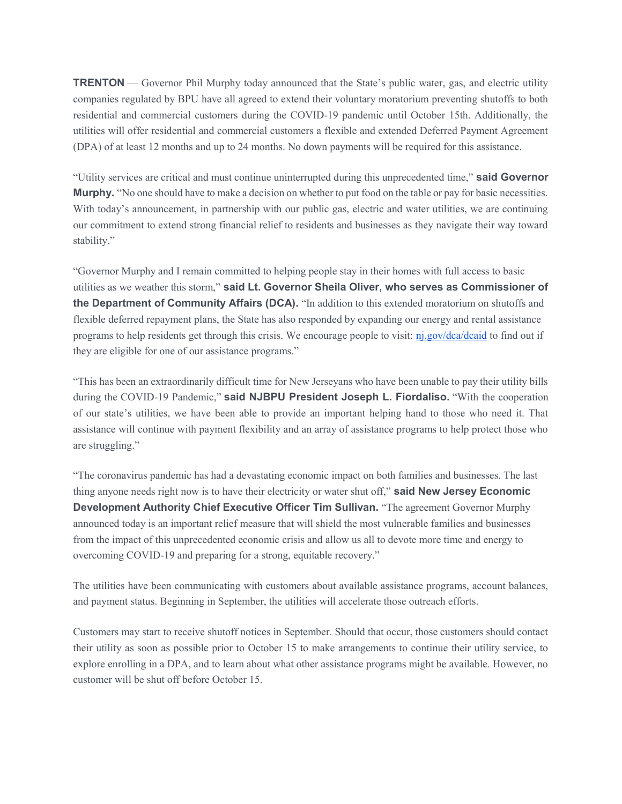TRENTON — Governor Phil Murphy today announced that the State's public water, gas, and electric utility companies regulated by BPU have all agreed to extend their voluntary moratorium preventing shutoffs to both residential and commercial customers during the COVID-19 pandemic until October 15th. Additionally, the utilities will offer residential and commercial customers a flexible and extended Deferred Payment Agreement (DPA) of at least 12 months and up to 24 months. No down payments will be required for this assistance.

"Utility services are critical and must continue uninterrupted during this unprecedented time," said Governor Murphy. "No one should have to make a decision on whether to put food on the table or pay for basic necessities. With today's announcement, in partnership with our public gas, electric and water utilities, we are continuing our commitment to extend strong financial relief to residents and businesses as they navigate their way toward stability."

"Governor Murphy and I remain committed to helping people stay in their homes with full access to basic utilities as we weather this storm," said Lt. Governor Sheila Oliver, who serves as Commissioner of the Department of Community Affairs (DCA). "In addition to this extended moratorium on shutoffs and flexible deferred repayment plans, the State has also responded by expanding our energy and rental assistance programs to help residents get through this crisis. We encourage people to visit: nj.gov/dca/dcaid to find out if they are eligible for one of our assistance programs."

"This has been an extraordinarily difficult time for New Jerseyans who have been unable to pay their utility bills during the COVID-19 Pandemic," said NJBPU President Joseph L. Fiordaliso. "With the cooperation of our state's utilities, we have been able to provide an important helping hand to those who need it. That assistance will continue with payment flexibility and an array of assistance programs to help protect those who are struggling."

"The coronavirus pandemic has had a devastating economic impact on both families and businesses. The last thing anyone needs right now is to have their electricity or water shut off," said New Jersey Economic Development Authority Chief Executive Officer Tim Sullivan. "The agreement Governor Murphy announced today is an important relief measure that will shield the most vulnerable families and businesses from the impact of this unprecedented economic crisis and allow us all to devote more time and energy to overcoming COVID-19 and preparing for a strong, equitable recovery."

The utilities have been communicating with customers about available assistance programs, account balances, and payment status. Beginning in September, the utilities will accelerate those outreach efforts.

Customers may start to receive shutoff notices in September. Should that occur, those customers should contact their utility as soon as possible prior to October 15 to make arrangements to continue their utility service, to explore enrolling in a DPA, and to learn about what other assistance programs might be available. However, no customer will be shut off before October 15.